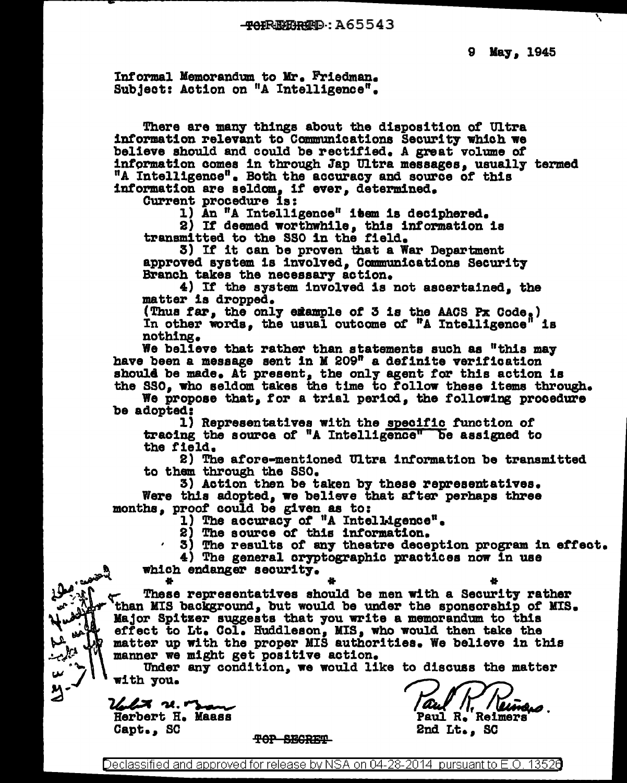Informal Memorandum to Mr. Friedman. Subject: Action on "A Intelligence".

There are many things about the disposition of Ultra information relevant to Communications Security which we believe should and could be rectified. A great volume *ot*  intormation comes in through Jap Ultra messages, usuall7 termed "A Intelligence". Both the accuracy and source of this information are seldom, if ever, determined.

Current procedure is:<br>1) An "A Intelligence" item is deciphered.

2) If deemed worthwhile, this information is transmitted to the SSO in the field.<br>3) If it can be proven that a War Department

approved system is involved, Communications Security Branch takes the necessary action.

 $4)$  If the system involved is not ascertained, the matter is dropped.

(Thus far, the only example of 3 is the AACS Px Code.)<br>In other words, the usual outcome of "A Intelligence" is In other words, the usual outcome of "A Intelligence" nothing.

We believe that rather than statements such as "this may have been a message sent in K 209" a definite verification shoul4 be made. At present, the only agent for this action is

the SSO, who seldom takes the time to follow these items through.<br>We propose that, for a trial period, the following procedure<br>be adopted: l) Representatives with the <u>specific</u> function of

tracing the source of "A Intelligence" be assigned to the f'ield.

2) The afore-mentioned Ultra information be transmitted to them through the SSO.<br>3) Action then be taken by these representatives.

Were this adopted, we believe that after perhaps three months, proof could be given as to:<br>1) The accuracy of "A Intelligence".

2) The source of this information.

3) The results of an7 theatre deception program in eftect.

4) The general cryptographic practices now in use

<sup>~</sup>which endanger seourit7 • . ~ ... \* \*

These representatives should be men with a Security rather than MIS background, but would be under the sponsorship of MIS. Major Spitzer suggests that 7ou write a memorandum to this effect to Lt. Col. Huddleson, MIS, who would then take the matter up with the proper MIS authorities. We believe in this manner we might get positive action.

Under any condition, we would like to discuss the matter with 7ou.

 $2$  a.  $\sim$ Herbert H. Maass Capt., SC

 $\frac{1}{2}$   $\frac{1}{2}$   $\frac{1}{2}$   $\frac{1}{2}$   $\frac{1}{2}$ 

ىئ り<br>)

TOP SECRET

Paul R. Reimers

2nd Lt., SC